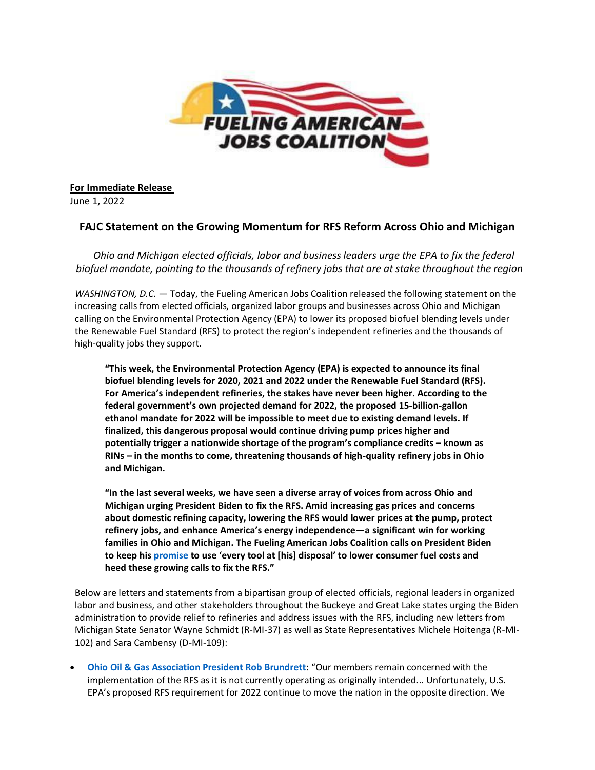

**For Immediate Release** June 1, 2022

## **FAJC Statement on the Growing Momentum for RFS Reform Across Ohio and Michigan**

*Ohio and Michigan elected officials, labor and business leaders urge the EPA to fix the federal biofuel mandate, pointing to the thousands of refinery jobs that are at stake throughout the region*

*WASHINGTON, D.C.* — Today, the Fueling American Jobs Coalition released the following statement on the increasing calls from elected officials, organized labor groups and businesses across Ohio and Michigan calling on the Environmental Protection Agency (EPA) to lower its proposed biofuel blending levels under the Renewable Fuel Standard (RFS) to protect the region's independent refineries and the thousands of high-quality jobs they support.

**"This week, the Environmental Protection Agency (EPA) is expected to announce its final biofuel blending levels for 2020, 2021 and 2022 under the Renewable Fuel Standard (RFS). For America's independent refineries, the stakes have never been higher. According to the federal government's own projected demand for 2022, the proposed 15-billion-gallon ethanol mandate for 2022 will be impossible to meet due to existing demand levels. If finalized, this dangerous proposal would continue driving pump prices higher and potentially trigger a nationwide shortage of the program's compliance credits – known as RINs – in the months to come, threatening thousands of high-quality refinery jobs in Ohio and Michigan.**

**"In the last several weeks, we have seen a diverse array of voices from across Ohio and Michigan urging President Biden to fix the RFS. Amid increasing gas prices and concerns about domestic refining capacity, lowering the RFS would lower prices at the pump, protect refinery jobs, and enhance America's energy independence—a significant win for working families in Ohio and Michigan. The Fueling American Jobs Coalition calls on President Biden to keep his [promise](https://www.fuelingusjobs.com/library/public/Statements/Release-5-25.pdf) to use 'every tool at [his] disposal' to lower consumer fuel costs and heed these growing calls to fix the RFS."**

Below are letters and statements from a bipartisan group of elected officials, regional leaders in organized labor and business, and other stakeholders throughout the Buckeye and Great Lake states urging the Biden administration to provide relief to refineries and address issues with the RFS, including new letters from Michigan State Senator Wayne Schmidt (R-MI-37) as well as State Representatives Michele Hoitenga (R-MI-102) and Sara Cambensy (D-MI-109):

• **[Ohio Oil & Gas Association President Rob Brundrett:](https://www.fuelingusjobs.com/library/public/Letters/OOGA-RFS-5-23-2022-final.pdf)** "Our members remain concerned with the implementation of the RFS as it is not currently operating as originally intended... Unfortunately, U.S. EPA's proposed RFS requirement for 2022 continue to move the nation in the opposite direction. We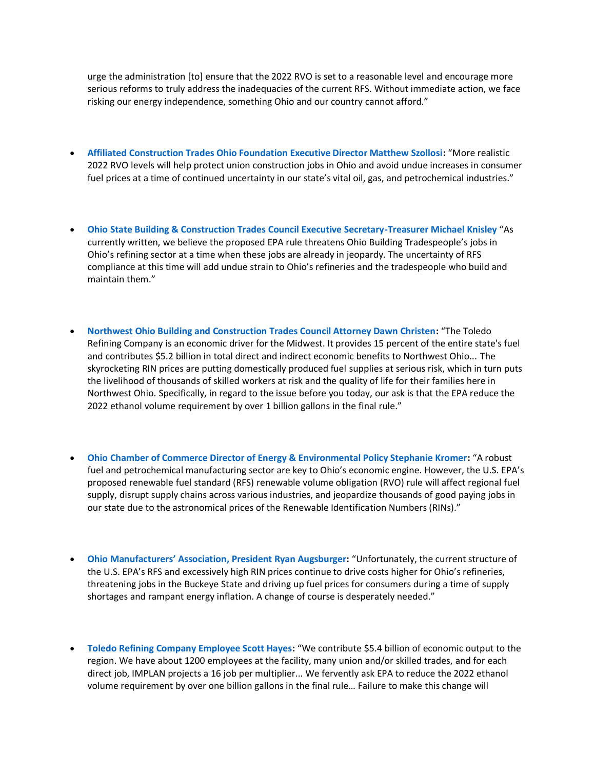urge the administration [to] ensure that the 2022 RVO is set to a reasonable level and encourage more serious reforms to truly address the inadequacies of the current RFS. Without immediate action, we face risking our energy independence, something Ohio and our country cannot afford."

- **[Affiliated Construction Trades Ohio Foundation Executive Director Matthew Szollosi:](https://www.fuelingusjobs.com/library/public/Letters/Affiliated-Construction-Trades-Ohio-Foundation-Addresses-the-Renewable-Fuel-Standard-Rules.pdf)** "More realistic 2022 RVO levels will help protect union construction jobs in Ohio and avoid undue increases in consumer fuel prices at a time of continued uncertainty in our state's vital oil, gas, and petrochemical industries."
- **[Ohio State Building & Construction Trades Council Executive Secretary-Treasurer Michael Knisley](https://www.fuelingusjobs.com/library/public/Letters/Ohio-Building-and-Construction-Trades-RFS-Council.pdf)** "As currently written, we believe the proposed EPA rule threatens Ohio Building Tradespeople's jobs in Ohio's refining sector at a time when these jobs are already in jeopardy. The uncertainty of RFS compliance at this time will add undue strain to Ohio's refineries and the tradespeople who build and maintain them."
- **[Northwest Ohio Building and Construction Trades Council Attorney Dawn Christen:](https://www.fuelingusjobs.com/library/public/Letters/Testimony-Refinery-Workers.pdf)** "The Toledo Refining Company is an economic driver for the Midwest. It provides 15 percent of the entire state's fuel and contributes \$5.2 billion in total direct and indirect economic benefits to Northwest Ohio... The skyrocketing RIN prices are putting domestically produced fuel supplies at serious risk, which in turn puts the livelihood of thousands of skilled workers at risk and the quality of life for their families here in Northwest Ohio. Specifically, in regard to the issue before you today, our ask is that the EPA reduce the 2022 ethanol volume requirement by over 1 billion gallons in the final rule."
- **[Ohio Chamber of Commerce Director of Energy & Environmental Policy Stephanie Kromer:](https://www.fuelingusjobs.com/library/public/Letters/Ohio-Chamber-of-Commerce-RFS-Comments.pdf)** "A robust fuel and petrochemical manufacturing sector are key to Ohio's economic engine. However, the U.S. EPA's proposed renewable fuel standard (RFS) renewable volume obligation (RVO) rule will affect regional fuel supply, disrupt supply chains across various industries, and jeopardize thousands of good paying jobs in our state due to the astronomical prices of the Renewable Identification Numbers (RINs)."
- **[Ohio Manufacturers' Association,](https://www.fuelingusjobs.com/library/public/Letters/FINAL_OMA_RFS-Letter_05-26-2022.pdf) President Ryan Augsburger:** "Unfortunately, the current structure of the U.S. EPA's RFS and excessively high RIN prices continue to drive costs higher for Ohio's refineries, threatening jobs in the Buckeye State and driving up fuel prices for consumers during a time of supply shortages and rampant energy inflation. A change of course is desperately needed."
- **[Toledo Refining Company Employee Scott Hayes:](https://www.fuelingusjobs.com/library/public/Letters/Testimony-Refinery-Workers.pdf)** "We contribute \$5.4 billion of economic output to the region. We have about 1200 employees at the facility, many union and/or skilled trades, and for each direct job, IMPLAN projects a 16 job per multiplier... We fervently ask EPA to reduce the 2022 ethanol volume requirement by over one billion gallons in the final rule… Failure to make this change will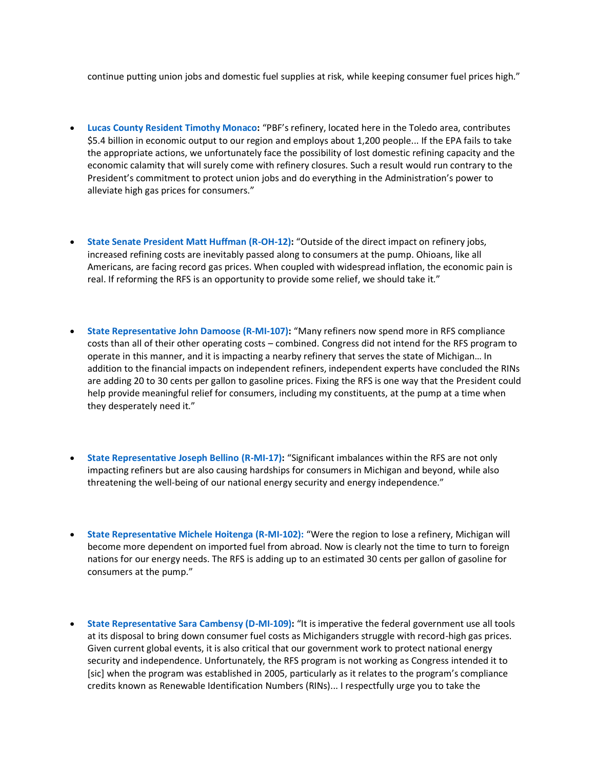continue putting union jobs and domestic fuel supplies at risk, while keeping consumer fuel prices high."

- **[Lucas County Resident Timothy Monaco:](https://www.fuelingusjobs.com/library/public/Letters/Timothy-Monaco-Ohio-RFS-Comments.pdf)** "PBF's refinery, located here in the Toledo area, contributes \$5.4 billion in economic output to our region and employs about 1,200 people... If the EPA fails to take the appropriate actions, we unfortunately face the possibility of lost domestic refining capacity and the economic calamity that will surely come with refinery closures. Such a result would run contrary to the President's commitment to protect union jobs and do everything in the Administration's power to alleviate high gas prices for consumers."
- **[State Senate President Matt Huffman \(R-OH-12\):](https://www.fuelingusjobs.com/library/public/Letters/Matt-Huffman-Letter.pdf)** "Outside of the direct impact on refinery jobs, increased refining costs are inevitably passed along to consumers at the pump. Ohioans, like all Americans, are facing record gas prices. When coupled with widespread inflation, the economic pain is real. If reforming the RFS is an opportunity to provide some relief, we should take it."
- **[State Representative John Damoose \(R-MI-107\):](https://www.fuelingusjobs.com/library/public/Letters/Rep-Damoose-RFS-Letter-final.pdf)** "Many refiners now spend more in RFS compliance costs than all of their other operating costs – combined. Congress did not intend for the RFS program to operate in this manner, and it is impacting a nearby refinery that serves the state of Michigan… In addition to the financial impacts on independent refiners, independent experts have concluded the RINs are adding 20 to 30 cents per gallon to gasoline prices. Fixing the RFS is one way that the President could help provide meaningful relief for consumers, including my constituents, at the pump at a time when they desperately need it."
- **[State Representative Joseph Bellino \(R-MI-17\):](https://www.fuelingusjobs.com/library/public/Letters/Rep-Bellino-RFS-Letter-5-31-22.pdf)** "Significant imbalances within the RFS are not only impacting refiners but are also causing hardships for consumers in Michigan and beyond, while also threatening the well-being of our national energy security and energy independence."
- **[State Representative Michele Hoitenga \(R-MI-102\):](https://www.fuelingusjobs.com/library/public/Letters/RINs-Letter-Hoitenga.pdf)** "Were the region to lose a refinery, Michigan will become more dependent on imported fuel from abroad. Now is clearly not the time to turn to foreign nations for our energy needs. The RFS is adding up to an estimated 30 cents per gallon of gasoline for consumers at the pump."
- **[State Representative Sara Cambensy \(D-MI-109\):](https://www.fuelingusjobs.com/library/public/Letters/Cambensy-Letter.pdf)** "It is imperative the federal government use all tools at its disposal to bring down consumer fuel costs as Michiganders struggle with record-high gas prices. Given current global events, it is also critical that our government work to protect national energy security and independence. Unfortunately, the RFS program is not working as Congress intended it to [sic] when the program was established in 2005, particularly as it relates to the program's compliance credits known as Renewable Identification Numbers (RINs)... I respectfully urge you to take the